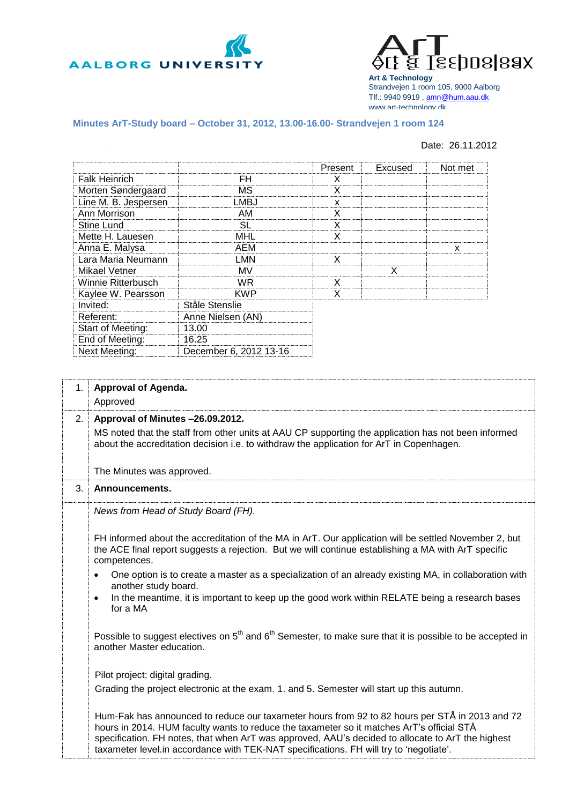



**Art & Technology** Strandvejen 1 room 105, 9000 Aalborg Tlf.: 9940 9919 , [amn@hum.aau.dk](mailto:amn@hum.aau.dk) www.art-technology.dk

## **Minutes ArT-Study board – October 31, 2012, 13.00-16.00- Strandvejen 1 room 124**

## Date: 26.11.2012

|                      |                        | Present | Excused | Not met |
|----------------------|------------------------|---------|---------|---------|
| <b>Falk Heinrich</b> | FH                     | X       |         |         |
| Morten Søndergaard   | МS                     | X       |         |         |
| Line M. B. Jespersen | LMBJ                   | X       |         |         |
| Ann Morrison         | AM                     | X       |         |         |
| Stine Lund           | <b>SL</b>              | X       |         |         |
| Mette H. Lauesen     | <b>MHL</b>             | x       |         |         |
| Anna E. Malysa       | AEM                    |         |         | x       |
| Lara Maria Neumann   | LMN                    | X       |         |         |
| Mikael Vetner        | MV                     |         | X       |         |
| Winnie Ritterbusch   | WR.                    | X       |         |         |
| Kaylee W. Pearsson   | <b>KWP</b>             | x       |         |         |
| Invited:             | Ståle Stenslie         |         |         |         |
| Referent:            | Anne Nielsen (AN)      |         |         |         |
| Start of Meeting:    | 13.00                  |         |         |         |
| End of Meeting:      | 16.25                  |         |         |         |
| Next Meeting:        | December 6, 2012 13-16 |         |         |         |

| 1 <sub>1</sub> | Approval of Agenda.                                                                                                                                                                                          |
|----------------|--------------------------------------------------------------------------------------------------------------------------------------------------------------------------------------------------------------|
|                | Approved                                                                                                                                                                                                     |
| 2.             | Approval of Minutes -26.09.2012.                                                                                                                                                                             |
|                | MS noted that the staff from other units at AAU CP supporting the application has not been informed                                                                                                          |
|                | about the accreditation decision i.e. to withdraw the application for ArT in Copenhagen.                                                                                                                     |
|                |                                                                                                                                                                                                              |
|                | The Minutes was approved.                                                                                                                                                                                    |
|                |                                                                                                                                                                                                              |
| 3.             | Announcements.                                                                                                                                                                                               |
|                | News from Head of Study Board (FH).                                                                                                                                                                          |
|                |                                                                                                                                                                                                              |
|                |                                                                                                                                                                                                              |
|                | FH informed about the accreditation of the MA in ArT. Our application will be settled November 2, but<br>the ACE final report suggests a rejection. But we will continue establishing a MA with ArT specific |
|                | competences.                                                                                                                                                                                                 |
|                |                                                                                                                                                                                                              |
|                | One option is to create a master as a specialization of an already existing MA, in collaboration with<br>$\bullet$<br>another study board.                                                                   |
|                | In the meantime, it is important to keep up the good work within RELATE being a research bases<br>$\bullet$                                                                                                  |
|                | for a MA                                                                                                                                                                                                     |
|                |                                                                                                                                                                                                              |
|                |                                                                                                                                                                                                              |
|                | Possible to suggest electives on $5th$ and $6th$ Semester, to make sure that it is possible to be accepted in<br>another Master education.                                                                   |
|                |                                                                                                                                                                                                              |
|                |                                                                                                                                                                                                              |
|                | Pilot project: digital grading.                                                                                                                                                                              |
|                | Grading the project electronic at the exam. 1. and 5. Semester will start up this autumn.                                                                                                                    |
|                |                                                                                                                                                                                                              |
|                | Hum-Fak has announced to reduce our taxameter hours from 92 to 82 hours per STÅ in 2013 and 72                                                                                                               |
|                | hours in 2014. HUM faculty wants to reduce the taxameter so it matches ArT's official STÅ                                                                                                                    |
|                | specification. FH notes, that when ArT was approved, AAU's decided to allocate to ArT the highest                                                                                                            |
|                | taxameter level.in accordance with TEK-NAT specifications. FH will try to 'negotiate'.                                                                                                                       |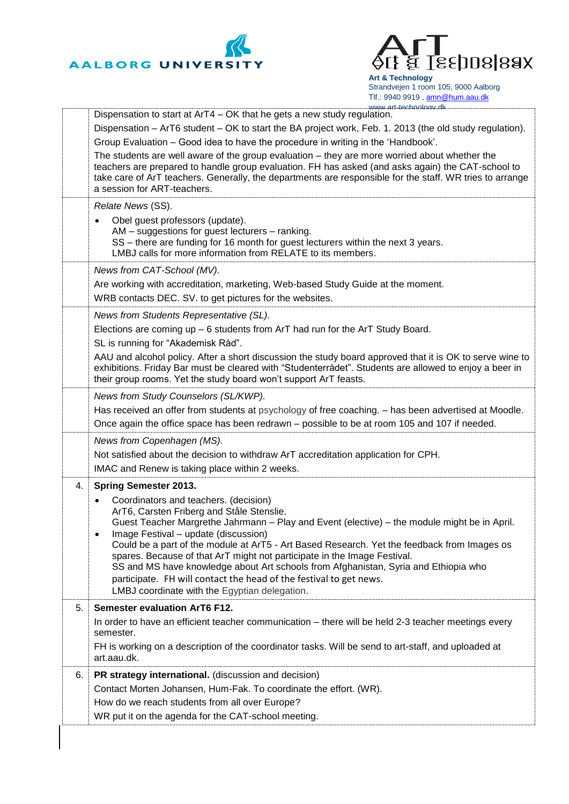



**Art & Technology** Strandvejen 1 room 105, 9000 Aalborg Tlf.: 9940 9919, [amn@hum.aau.dk](mailto:amn@hum.aau.dk)

|    | www.art-technology.dk<br>Dispensation to start at ArT4 - OK that he gets a new study regulation.                                                                                                                                                                                                                                                                                                                                                                                                                                                                                                                                 |
|----|----------------------------------------------------------------------------------------------------------------------------------------------------------------------------------------------------------------------------------------------------------------------------------------------------------------------------------------------------------------------------------------------------------------------------------------------------------------------------------------------------------------------------------------------------------------------------------------------------------------------------------|
|    | Dispensation – ArT6 student – OK to start the BA project work, Feb. 1. 2013 (the old study regulation).                                                                                                                                                                                                                                                                                                                                                                                                                                                                                                                          |
|    | Group Evaluation - Good idea to have the procedure in writing in the 'Handbook'.                                                                                                                                                                                                                                                                                                                                                                                                                                                                                                                                                 |
|    | The students are well aware of the group evaluation - they are more worried about whether the<br>teachers are prepared to handle group evaluation. FH has asked (and asks again) the CAT-school to<br>take care of ArT teachers. Generally, the departments are responsible for the staff. WR tries to arrange<br>a session for ART-teachers.                                                                                                                                                                                                                                                                                    |
|    | Relate News (SS).                                                                                                                                                                                                                                                                                                                                                                                                                                                                                                                                                                                                                |
|    | Obel guest professors (update).<br>AM – suggestions for guest lecturers – ranking.<br>SS - there are funding for 16 month for guest lecturers within the next 3 years.<br>LMBJ calls for more information from RELATE to its members.                                                                                                                                                                                                                                                                                                                                                                                            |
|    | News from CAT-School (MV).                                                                                                                                                                                                                                                                                                                                                                                                                                                                                                                                                                                                       |
|    | Are working with accreditation, marketing, Web-based Study Guide at the moment.                                                                                                                                                                                                                                                                                                                                                                                                                                                                                                                                                  |
|    | WRB contacts DEC. SV. to get pictures for the websites.                                                                                                                                                                                                                                                                                                                                                                                                                                                                                                                                                                          |
|    | News from Students Representative (SL).                                                                                                                                                                                                                                                                                                                                                                                                                                                                                                                                                                                          |
|    | Elections are coming up - 6 students from ArT had run for the ArT Study Board.                                                                                                                                                                                                                                                                                                                                                                                                                                                                                                                                                   |
|    | SL is running for "Akademisk Råd".<br>AAU and alcohol policy. After a short discussion the study board approved that it is OK to serve wine to                                                                                                                                                                                                                                                                                                                                                                                                                                                                                   |
|    | exhibitions. Friday Bar must be cleared with "Studenterrådet". Students are allowed to enjoy a beer in<br>their group rooms. Yet the study board won't support ArT feasts.                                                                                                                                                                                                                                                                                                                                                                                                                                                       |
|    | News from Study Counselors (SL/KWP).                                                                                                                                                                                                                                                                                                                                                                                                                                                                                                                                                                                             |
|    | Has received an offer from students at psychology of free coaching. - has been advertised at Moodle.<br>Once again the office space has been redrawn - possible to be at room 105 and 107 if needed.                                                                                                                                                                                                                                                                                                                                                                                                                             |
|    | News from Copenhagen (MS).                                                                                                                                                                                                                                                                                                                                                                                                                                                                                                                                                                                                       |
|    | Not satisfied about the decision to withdraw ArT accreditation application for CPH.                                                                                                                                                                                                                                                                                                                                                                                                                                                                                                                                              |
|    | IMAC and Renew is taking place within 2 weeks.                                                                                                                                                                                                                                                                                                                                                                                                                                                                                                                                                                                   |
| 4. | <b>Spring Semester 2013.</b>                                                                                                                                                                                                                                                                                                                                                                                                                                                                                                                                                                                                     |
|    | Coordinators and teachers. (decision)<br>$\bullet$<br>ArT6, Carsten Friberg and Ståle Stenslie.<br>Guest Teacher Margrethe Jahrmann - Play and Event (elective) - the module might be in April.<br>Image Festival - update (discussion)<br>Could be a part of the module at ArT5 - Art Based Research. Yet the feedback from Images os<br>spares. Because of that ArT might not participate in the Image Festival.<br>SS and MS have knowledge about Art schools from Afghanistan, Syria and Ethiopia who<br>participate. FH will contact the head of the festival to get news.<br>LMBJ coordinate with the Egyptian delegation. |
| 5. | <b>Semester evaluation ArT6 F12.</b>                                                                                                                                                                                                                                                                                                                                                                                                                                                                                                                                                                                             |
|    | In order to have an efficient teacher communication - there will be held 2-3 teacher meetings every<br>semester.                                                                                                                                                                                                                                                                                                                                                                                                                                                                                                                 |
|    | FH is working on a description of the coordinator tasks. Will be send to art-staff, and uploaded at<br>art.aau.dk.                                                                                                                                                                                                                                                                                                                                                                                                                                                                                                               |
| 6. | PR strategy international. (discussion and decision)                                                                                                                                                                                                                                                                                                                                                                                                                                                                                                                                                                             |
|    | Contact Morten Johansen, Hum-Fak. To coordinate the effort. (WR).                                                                                                                                                                                                                                                                                                                                                                                                                                                                                                                                                                |
|    | How do we reach students from all over Europe?                                                                                                                                                                                                                                                                                                                                                                                                                                                                                                                                                                                   |
|    | WR put it on the agenda for the CAT-school meeting.                                                                                                                                                                                                                                                                                                                                                                                                                                                                                                                                                                              |